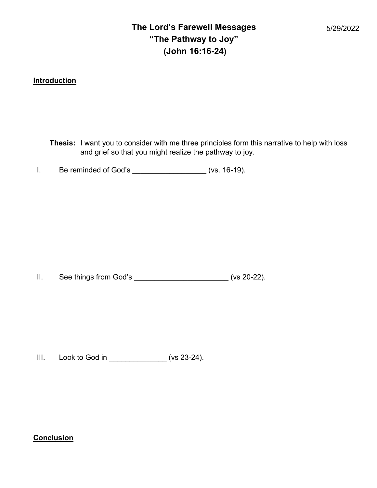## The Lord's Farewell Messages "The Pathway to Joy" (John 16:16-24)

**Introduction** 

Thesis: I want you to consider with me three principles form this narrative to help with loss and grief so that you might realize the pathway to joy.

I. Be reminded of God's \_\_\_\_\_\_\_\_\_\_\_\_\_\_\_\_\_\_ (vs. 16-19).

II. See things from God's \_\_\_\_\_\_\_\_\_\_\_\_\_\_\_\_\_\_\_\_\_\_\_ (vs 20-22).

III. Look to God in \_\_\_\_\_\_\_\_\_\_\_\_\_\_ (vs 23-24).

**Conclusion**